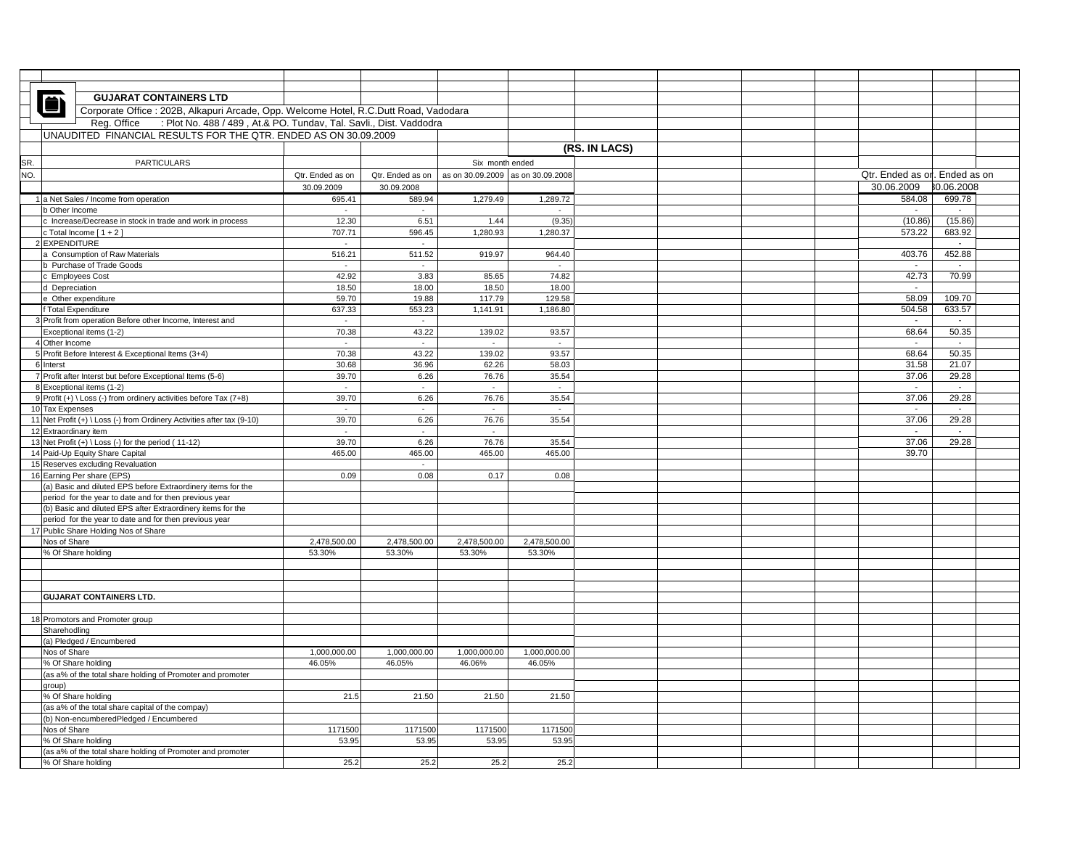|     |                                     | <b>GUJARAT CONTAINERS LTD</b>                                                         |                                                                    |                             |                                   |                |               |  |                               |                          |  |
|-----|-------------------------------------|---------------------------------------------------------------------------------------|--------------------------------------------------------------------|-----------------------------|-----------------------------------|----------------|---------------|--|-------------------------------|--------------------------|--|
|     |                                     | Corporate Office : 202B, Alkapuri Arcade, Opp. Welcome Hotel, R.C.Dutt Road, Vadodara |                                                                    |                             |                                   |                |               |  |                               |                          |  |
|     | Reg. Office                         |                                                                                       | : Plot No. 488 / 489, At.& PO. Tundav, Tal. Savli., Dist. Vaddodra |                             |                                   |                |               |  |                               |                          |  |
|     |                                     | UNAUDITED FINANCIAL RESULTS FOR THE QTR. ENDED AS ON 30.09.2009                       |                                                                    |                             |                                   |                |               |  |                               |                          |  |
|     |                                     |                                                                                       |                                                                    |                             |                                   |                | (RS. IN LACS) |  |                               |                          |  |
|     |                                     |                                                                                       |                                                                    |                             |                                   |                |               |  |                               |                          |  |
| SR. |                                     | <b>PARTICULARS</b>                                                                    |                                                                    |                             | Six month ended                   |                |               |  |                               |                          |  |
| NO. |                                     |                                                                                       | Qtr. Ended as on                                                   | Qtr. Ended as on            | as on 30.09.2009 as on 30.09.2008 |                |               |  | Qtr. Ended as or. Ended as on |                          |  |
|     |                                     |                                                                                       | 30.09.2009                                                         | 30.09.2008                  |                                   |                |               |  | 30.06.2009                    | 30.06.2008               |  |
|     |                                     | 1 a Net Sales / Income from operation                                                 | 695.41                                                             | 589.94                      | 1,279.49                          | 1,289.72       |               |  | 584.08                        | 699.78                   |  |
|     | b Other Income                      |                                                                                       | $\sim$                                                             | $\sim$                      |                                   | $\sim$         |               |  | $\sim$                        | $\sim$                   |  |
|     |                                     | c Increase/Decrease in stock in trade and work in process                             | 12.30                                                              | 6.51                        | 1.44                              | (9.35)         |               |  | (10.86)                       | (15.86)                  |  |
|     |                                     | c Total Income $[1 + 2]$                                                              | 707.71                                                             | 596.45                      | 1,280.93                          | 1,280.37       |               |  | 573.22                        | 683.92                   |  |
|     | <b>EXPENDITURE</b>                  |                                                                                       | $\mathcal{L}$                                                      | $\mathcal{L}_{\mathcal{A}}$ |                                   |                |               |  |                               | $\sim$                   |  |
|     | Consumption of Raw Materials        |                                                                                       | 516.21                                                             | 511.52                      | 919.97                            | 964.40         |               |  | 403.76                        | 452.88                   |  |
|     |                                     |                                                                                       | $\sim$                                                             | $\sim$                      |                                   | $\sim$         |               |  | $\sim$                        | $\overline{\phantom{a}}$ |  |
|     | b Purchase of Trade Goods           |                                                                                       |                                                                    |                             |                                   |                |               |  |                               |                          |  |
|     | c Employees Cost                    |                                                                                       | 42.92<br>18.50                                                     | 3.83<br>18.00               | 85.65<br>18.50                    | 74.82<br>18.00 |               |  | 42.73<br>$\sim$               | 70.99                    |  |
|     | d Depreciation<br>Other expenditure |                                                                                       |                                                                    |                             |                                   |                |               |  | 58.09                         | 109.70                   |  |
|     |                                     |                                                                                       | 59.70                                                              | 19.88                       | 117.79                            | 129.58         |               |  | 504.58                        |                          |  |
|     | <b>Total Expenditure</b>            |                                                                                       | 637.33                                                             | 553.23                      | 1,141.91                          | 1,186.80       |               |  |                               | 633.57                   |  |
|     |                                     | Profit from operation Before other Income, Interest and                               | $\omega$                                                           | $\mathcal{L}_{\mathcal{A}}$ |                                   |                |               |  | $\sim$                        |                          |  |
|     |                                     | Exceptional items (1-2)                                                               | 70.38                                                              | 43.22                       | 139.02                            | 93.57          |               |  | 68.64                         | 50.35                    |  |
|     | 4 Other Income                      |                                                                                       | $\sim$                                                             | $\sim$                      | $\sim$                            | $\sim$         |               |  | $\sim$                        | $\sim$                   |  |
|     |                                     | 5 Profit Before Interest & Exceptional Items (3+4)                                    | 70.38                                                              | 43.22                       | 139.02                            | 93.57          |               |  | 68.64                         | 50.35                    |  |
|     | 6 Interst                           |                                                                                       | 30.68                                                              | 36.96                       | 62.26                             | 58.03          |               |  | 31.58                         | 21.07                    |  |
|     |                                     | 7 Profit after Interst but before Exceptional Items (5-6)                             | 39.70                                                              | 6.26                        | 76.76                             | 35.54          |               |  | 37.06                         | 29.28                    |  |
|     |                                     | 8 Exceptional items (1-2)                                                             | $\blacksquare$                                                     | $\sim$                      | $\sim$                            | $\sim$         |               |  |                               |                          |  |
|     |                                     | 9 Profit (+) \ Loss (-) from ordinery activities before Tax (7+8)                     | 39.70                                                              | 6.26                        | 76.76                             | 35.54          |               |  | 37.06                         | 29.28                    |  |
|     | 10 Tax Expenses                     |                                                                                       | $\sim$                                                             | $\sim$                      | $\sim$                            | $\sim$         |               |  | $\sim$                        | $\sim$                   |  |
|     |                                     | 11 Net Profit (+) \ Loss (-) from Ordinery Activities after tax (9-10)                | 39.70                                                              | 6.26                        | 76.76                             | 35.54          |               |  | 37.06                         | 29.28                    |  |
|     |                                     | 12 Extraordinary item                                                                 | $\sim$                                                             | $\sim$                      | $\sim$                            |                |               |  | $\sim$                        | $\sim$                   |  |
|     |                                     | 13 Net Profit (+) \ Loss (-) for the period (11-12)                                   | 39.70                                                              | 6.26                        | 76.76                             | 35.54          |               |  | 37.06                         | 29.28                    |  |
|     |                                     | 14 Paid-Up Equity Share Capital                                                       | 465.00                                                             | 465.00                      | 465.00                            | 465.00         |               |  | 39.70                         |                          |  |
|     |                                     | 15 Reserves excluding Revaluation                                                     |                                                                    | $\omega$                    |                                   |                |               |  |                               |                          |  |
|     |                                     | 16 Earning Per share (EPS)                                                            | 0.09                                                               | 0.08                        | 0.17                              | 0.08           |               |  |                               |                          |  |
|     |                                     | (a) Basic and diluted EPS before Extraordinery items for the                          |                                                                    |                             |                                   |                |               |  |                               |                          |  |
|     |                                     | period for the year to date and for then previous year                                |                                                                    |                             |                                   |                |               |  |                               |                          |  |
|     |                                     | (b) Basic and diluted EPS after Extraordinery items for the                           |                                                                    |                             |                                   |                |               |  |                               |                          |  |
|     |                                     | period for the year to date and for then previous year                                |                                                                    |                             |                                   |                |               |  |                               |                          |  |
|     |                                     | 17 Public Share Holding Nos of Share                                                  |                                                                    |                             |                                   |                |               |  |                               |                          |  |
|     | Nos of Share                        |                                                                                       | 2,478,500.00                                                       | 2,478,500.00                | 2,478,500.00                      | 2,478,500.00   |               |  |                               |                          |  |
|     |                                     | % Of Share holding                                                                    | 53.30%                                                             | 53.30%                      | 53.30%                            | 53.30%         |               |  |                               |                          |  |
|     |                                     |                                                                                       |                                                                    |                             |                                   |                |               |  |                               |                          |  |
|     |                                     |                                                                                       |                                                                    |                             |                                   |                |               |  |                               |                          |  |
|     |                                     |                                                                                       |                                                                    |                             |                                   |                |               |  |                               |                          |  |
|     |                                     | <b>GUJARAT CONTAINERS LTD.</b>                                                        |                                                                    |                             |                                   |                |               |  |                               |                          |  |
|     |                                     |                                                                                       |                                                                    |                             |                                   |                |               |  |                               |                          |  |
|     |                                     | 18 Promotors and Promoter group                                                       |                                                                    |                             |                                   |                |               |  |                               |                          |  |
|     | Sharehodling                        |                                                                                       |                                                                    |                             |                                   |                |               |  |                               |                          |  |
|     |                                     | (a) Pledged / Encumbered                                                              |                                                                    |                             |                                   |                |               |  |                               |                          |  |
|     | Nos of Share                        |                                                                                       | 1,000,000.00                                                       | 1,000,000.00                | 1,000,000.00                      | 1,000,000.00   |               |  |                               |                          |  |
|     |                                     | % Of Share holding                                                                    | 46.05%                                                             | 46.05%                      | 46.06%                            | 46.05%         |               |  |                               |                          |  |
|     |                                     | (as a% of the total share holding of Promoter and promoter                            |                                                                    |                             |                                   |                |               |  |                               |                          |  |
|     | group)                              |                                                                                       |                                                                    |                             |                                   |                |               |  |                               |                          |  |
|     |                                     | % Of Share holding                                                                    | 21.5                                                               | 21.50                       | 21.50                             | 21.50          |               |  |                               |                          |  |
|     |                                     | (as a% of the total share capital of the compay)                                      |                                                                    |                             |                                   |                |               |  |                               |                          |  |
|     |                                     | (b) Non-encumberedPledged / Encumbered                                                |                                                                    |                             |                                   |                |               |  |                               |                          |  |
|     | Nos of Share                        |                                                                                       | 1171500                                                            | 1171500                     | 1171500                           | 1171500        |               |  |                               |                          |  |
|     |                                     |                                                                                       |                                                                    |                             |                                   |                |               |  |                               |                          |  |
|     |                                     | % Of Share holding<br>(as a% of the total share holding of Promoter and promoter      | 53.95                                                              | 53.95                       | 53.95                             | 53.95          |               |  |                               |                          |  |
|     |                                     |                                                                                       |                                                                    |                             |                                   |                |               |  |                               |                          |  |
|     |                                     | % Of Share holding                                                                    | 25.2                                                               | 25.2                        | 25.2                              | 25.2           |               |  |                               |                          |  |